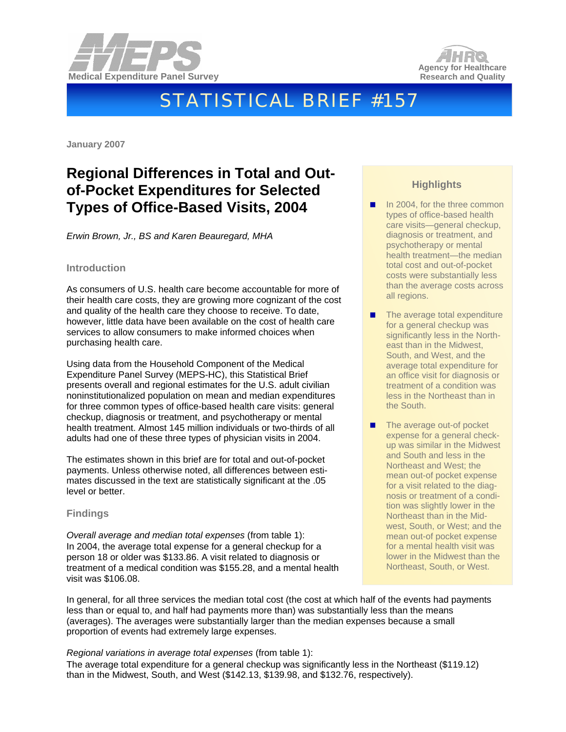



# STATISTICAL BRIEF #157

**January 2007** 

## **Regional Differences in Total and Outof-Pocket Expenditures for Selected Types of Office-Based Visits, 2004**

*Erwin Brown, Jr., BS and Karen Beauregard, MHA* 

#### **Introduction**

As consumers of U.S. health care become accountable for more of their health care costs, they are growing more cognizant of the cost and quality of the health care they choose to receive. To date, however, little data have been available on the cost of health care services to allow consumers to make informed choices when purchasing health care.

Using data from the Household Component of the Medical Expenditure Panel Survey (MEPS-HC), this Statistical Brief presents overall and regional estimates for the U.S. adult civilian noninstitutionalized population on mean and median expenditures for three common types of office-based health care visits: general checkup, diagnosis or treatment, and psychotherapy or mental health treatment. Almost 145 million individuals or two-thirds of all adults had one of these three types of physician visits in 2004.

The estimates shown in this brief are for total and out-of-pocket payments. Unless otherwise noted, all differences between estimates discussed in the text are statistically significant at the .05 level or better.

#### **Findings**

*Overall average and median total expenses* (from table 1): In 2004, the average total expense for a general checkup for a person 18 or older was \$133.86. A visit related to diagnosis or treatment of a medical condition was \$155.28, and a mental health visit was \$106.08.

### **Highlights**

- In 2004, for the three common types of office-based health care visits—general checkup, diagnosis or treatment, and psychotherapy or mental health treatment—the median total cost and out-of-pocket costs were substantially less than the average costs across all regions.
- The average total expenditure for a general checkup was significantly less in the Northeast than in the Midwest, South, and West, and the average total expenditure for an office visit for diagnosis or treatment of a condition was less in the Northeast than in the South.
- The average out-of pocket expense for a general checkup was similar in the Midwest and South and less in the Northeast and West; the mean out-of pocket expense for a visit related to the diagnosis or treatment of a condition was slightly lower in the Northeast than in the Midwest, South, or West; and the mean out-of pocket expense for a mental health visit was lower in the Midwest than the Northeast, South, or West.

In general, for all three services the median total cost (the cost at which half of the events had payments less than or equal to, and half had payments more than) was substantially less than the means (averages). The averages were substantially larger than the median expenses because a small proportion of events had extremely large expenses.

#### *Regional variations in average total expenses* (from table 1):

The average total expenditure for a general checkup was significantly less in the Northeast (\$119.12) than in the Midwest, South, and West (\$142.13, \$139.98, and \$132.76, respectively).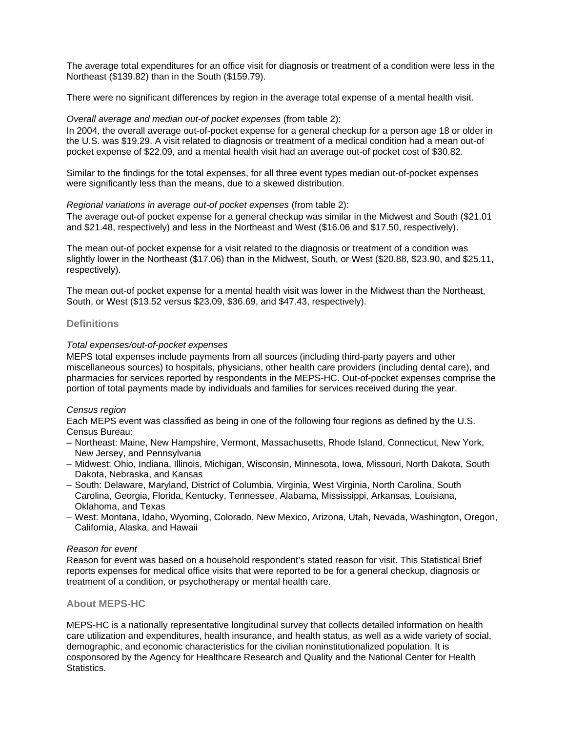The average total expenditures for an office visit for diagnosis or treatment of a condition were less in the Northeast (\$139.82) than in the South (\$159.79).

There were no significant differences by region in the average total expense of a mental health visit.

#### *Overall average and median out-of pocket expenses* (from table 2):

In 2004, the overall average out-of-pocket expense for a general checkup for a person age 18 or older in the U.S. was \$19.29. A visit related to diagnosis or treatment of a medical condition had a mean out-of pocket expense of \$22.09, and a mental health visit had an average out-of pocket cost of \$30.82.

Similar to the findings for the total expenses, for all three event types median out-of-pocket expenses were significantly less than the means, due to a skewed distribution.

#### *Regional variations in average out-of pocket expenses* (from table 2):

The average out-of pocket expense for a general checkup was similar in the Midwest and South (\$21.01 and \$21.48, respectively) and less in the Northeast and West (\$16.06 and \$17.50, respectively).

The mean out-of pocket expense for a visit related to the diagnosis or treatment of a condition was slightly lower in the Northeast (\$17.06) than in the Midwest, South, or West (\$20.88, \$23.90, and \$25.11, respectively).

The mean out-of pocket expense for a mental health visit was lower in the Midwest than the Northeast, South, or West (\$13.52 versus \$23.09, \$36.69, and \$47.43, respectively).

#### **Definitions**

#### *Total expenses/out-of-pocket expenses*

MEPS total expenses include payments from all sources (including third-party payers and other miscellaneous sources) to hospitals, physicians, other health care providers (including dental care), and pharmacies for services reported by respondents in the MEPS-HC. Out-of-pocket expenses comprise the portion of total payments made by individuals and families for services received during the year.

#### *Census region*

Each MEPS event was classified as being in one of the following four regions as defined by the U.S. Census Bureau:

- Northeast: Maine, New Hampshire, Vermont, Massachusetts, Rhode Island, Connecticut, New York, New Jersey, and Pennsylvania
- Midwest: Ohio, Indiana, Illinois, Michigan, Wisconsin, Minnesota, Iowa, Missouri, North Dakota, South Dakota, Nebraska, and Kansas
- South: Delaware, Maryland, District of Columbia, Virginia, West Virginia, North Carolina, South Carolina, Georgia, Florida, Kentucky, Tennessee, Alabama, Mississippi, Arkansas, Louisiana, Oklahoma, and Texas
- West: Montana, Idaho, Wyoming, Colorado, New Mexico, Arizona, Utah, Nevada, Washington, Oregon, California, Alaska, and Hawaii

#### *Reason for event*

Reason for event was based on a household respondent's stated reason for visit. This Statistical Brief reports expenses for medical office visits that were reported to be for a general checkup, diagnosis or treatment of a condition, or psychotherapy or mental health care.

#### **About MEPS-HC**

MEPS-HC is a nationally representative longitudinal survey that collects detailed information on health care utilization and expenditures, health insurance, and health status, as well as a wide variety of social, demographic, and economic characteristics for the civilian noninstitutionalized population. It is cosponsored by the Agency for Healthcare Research and Quality and the National Center for Health Statistics.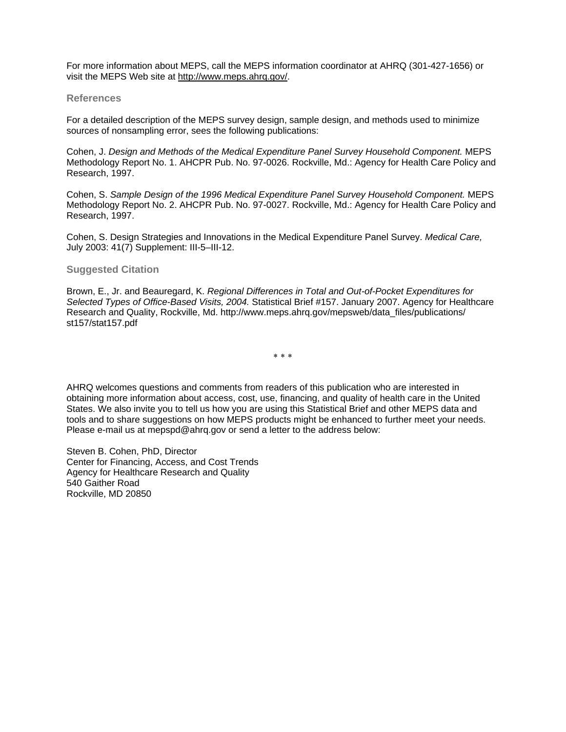For more information about MEPS, call the MEPS information coordinator at AHRQ (301-427-1656) or visit the MEPS Web site at [http://www.meps.ahrq.gov/.](http://www.meps.ahrq.gov/)

#### **References**

For a detailed description of the MEPS survey design, sample design, and methods used to minimize sources of nonsampling error, sees the following publications:

Cohen, J. *Design and Methods of the Medical Expenditure Panel Survey Household Component.* MEPS Methodology Report No. 1. AHCPR Pub. No. 97-0026. Rockville, Md.: Agency for Health Care Policy and Research, 1997.

Cohen, S. *Sample Design of the 1996 Medical Expenditure Panel Survey Household Component.* MEPS Methodology Report No. 2. AHCPR Pub. No. 97-0027. Rockville, Md.: Agency for Health Care Policy and Research, 1997.

Cohen, S. Design Strategies and Innovations in the Medical Expenditure Panel Survey. *Medical Care,* July 2003: 41(7) Supplement: III-5–III-12.

#### **Suggested Citation**

Brown, E., Jr. and Beauregard, K. *Regional Differences in Total and Out-of-Pocket Expenditures for Selected Types of Office-Based Visits, 2004.* Statistical Brief #157. January 2007. Agency for Healthcare Research and Quality, Rockville, Md. http://www.meps.ahrq.gov/mepsweb/data\_files/publications/ st157/stat157.pdf

∗ ∗ ∗

AHRQ welcomes questions and comments from readers of this publication who are interested in obtaining more information about access, cost, use, financing, and quality of health care in the United States. We also invite you to tell us how you are using this Statistical Brief and other MEPS data and tools and to share suggestions on how MEPS products might be enhanced to further meet your needs. Please e-mail us at mepspd@ahrq.gov or send a letter to the address below:

Steven B. Cohen, PhD, Director Center for Financing, Access, and Cost Trends Agency for Healthcare Research and Quality 540 Gaither Road Rockville, MD 20850